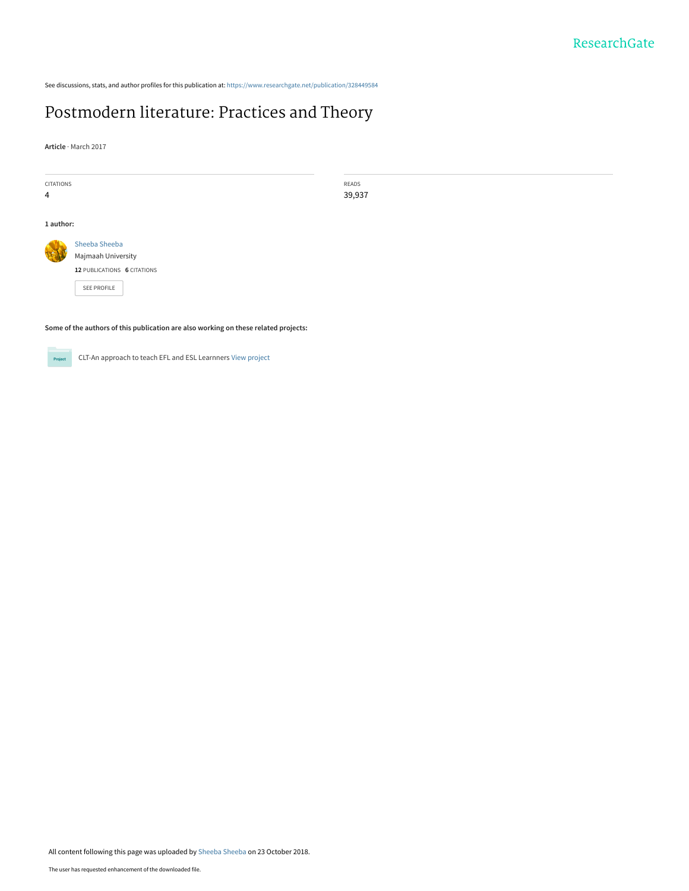See discussions, stats, and author profiles for this publication at: [https://www.researchgate.net/publication/328449584](https://www.researchgate.net/publication/328449584_Postmodern_literature_Practices_and_Theory?enrichId=rgreq-7415ac7fd614885a2686ed65da56d62b-XXX&enrichSource=Y292ZXJQYWdlOzMyODQ0OTU4NDtBUzo2ODQ4MTM4NTgxNDAxNjFAMTU0MDI4Mzc1NTkzOQ%3D%3D&el=1_x_2&_esc=publicationCoverPdf)

# [Postmodern literature: Practices and Theory](https://www.researchgate.net/publication/328449584_Postmodern_literature_Practices_and_Theory?enrichId=rgreq-7415ac7fd614885a2686ed65da56d62b-XXX&enrichSource=Y292ZXJQYWdlOzMyODQ0OTU4NDtBUzo2ODQ4MTM4NTgxNDAxNjFAMTU0MDI4Mzc1NTkzOQ%3D%3D&el=1_x_3&_esc=publicationCoverPdf)

**Article** · March 2017

| <b>CITATIONS</b> |                                     | <b>READS</b> |
|------------------|-------------------------------------|--------------|
| $\overline{4}$   |                                     | 39,937       |
| 1 author:        |                                     |              |
|                  | Sheeba Sheeba<br>Majmaah University |              |
|                  | 12 PUBLICATIONS 6 CITATIONS         |              |
|                  | SEE PROFILE                         |              |

**Some of the authors of this publication are also working on these related projects:**



CLT-An approach to teach EFL and ESL Learnners [View project](https://www.researchgate.net/project/CLT-An-approach-to-teach-EFL-and-ESL-Learnners?enrichId=rgreq-7415ac7fd614885a2686ed65da56d62b-XXX&enrichSource=Y292ZXJQYWdlOzMyODQ0OTU4NDtBUzo2ODQ4MTM4NTgxNDAxNjFAMTU0MDI4Mzc1NTkzOQ%3D%3D&el=1_x_9&_esc=publicationCoverPdf)

All content following this page was uploaded by [Sheeba Sheeba](https://www.researchgate.net/profile/Sheeba-Sheeba?enrichId=rgreq-7415ac7fd614885a2686ed65da56d62b-XXX&enrichSource=Y292ZXJQYWdlOzMyODQ0OTU4NDtBUzo2ODQ4MTM4NTgxNDAxNjFAMTU0MDI4Mzc1NTkzOQ%3D%3D&el=1_x_10&_esc=publicationCoverPdf) on 23 October 2018.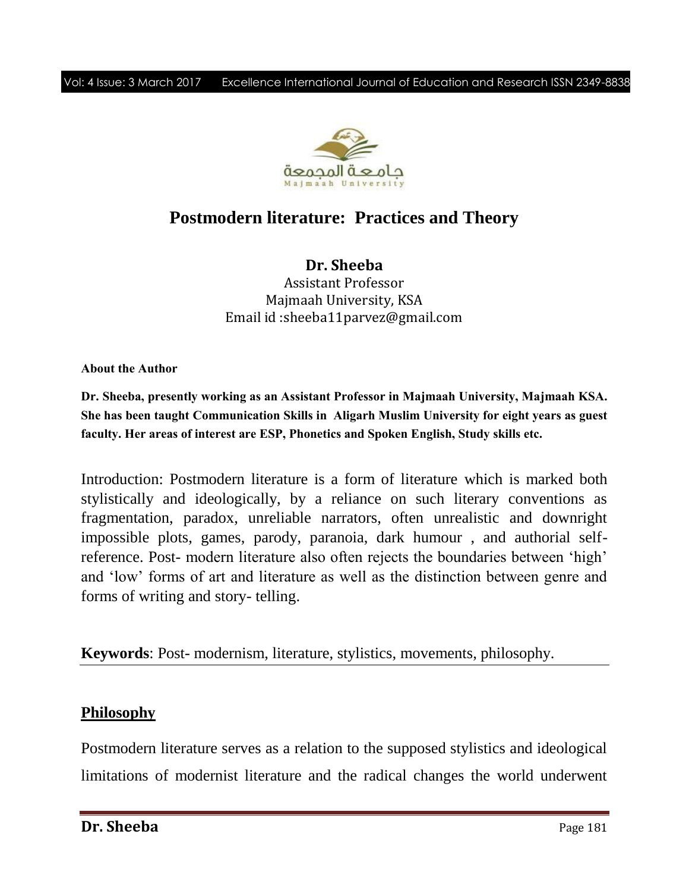

# **Postmodern literature: Practices and Theory**

**Dr. Sheeba** Assistant Professor Majmaah University, KSA Email id :sheeba11parvez@gmail.com

**About the Author**

**Dr. Sheeba, presently working as an Assistant Professor in Majmaah University, Majmaah KSA. She has been taught Communication Skills in Aligarh Muslim University for eight years as guest faculty. Her areas of interest are ESP, Phonetics and Spoken English, Study skills etc.**

Introduction: Postmodern literature is a form of literature which is marked both stylistically and ideologically, by a reliance on such literary conventions as fragmentation, paradox, unreliable narrators, often unrealistic and downright impossible plots, games, parody, paranoia, dark humour , and authorial selfreference. Post- modern literature also often rejects the boundaries between "high" and "low" forms of art and literature as well as the distinction between genre and forms of writing and story- telling.

**Keywords**: Post- modernism, literature, stylistics, movements, philosophy.

### **Philosophy**

Postmodern literature serves as a relation to the supposed stylistics and ideological limitations of modernist literature and the radical changes the world underwent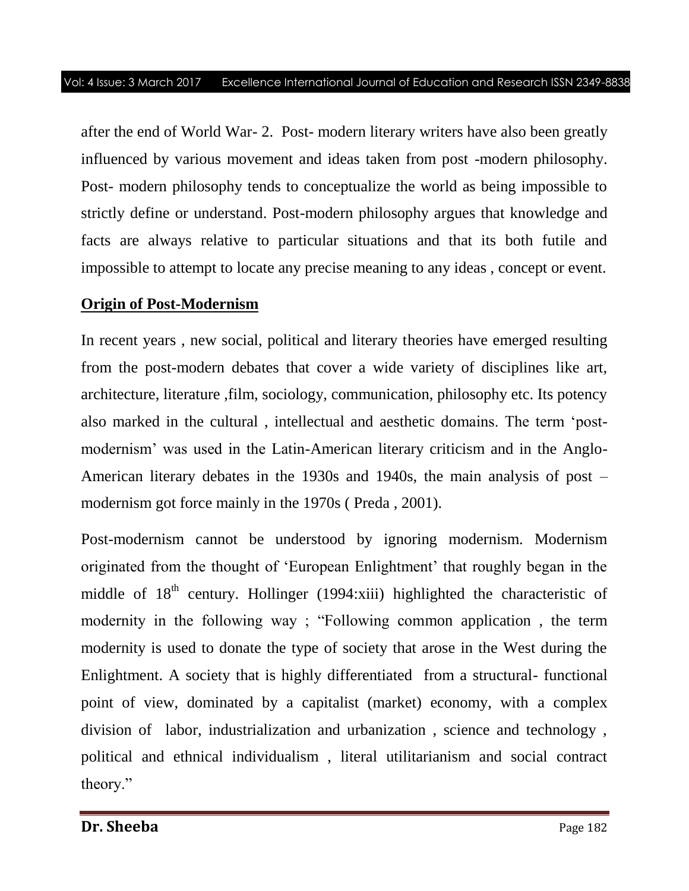after the end of World War- 2. Post- modern literary writers have also been greatly influenced by various movement and ideas taken from post -modern philosophy. Post- modern philosophy tends to conceptualize the world as being impossible to strictly define or understand. Post-modern philosophy argues that knowledge and facts are always relative to particular situations and that its both futile and impossible to attempt to locate any precise meaning to any ideas , concept or event.

## **Origin of Post-Modernism**

In recent years , new social, political and literary theories have emerged resulting from the post-modern debates that cover a wide variety of disciplines like art, architecture, literature ,film, sociology, communication, philosophy etc. Its potency also marked in the cultural , intellectual and aesthetic domains. The term "postmodernism' was used in the Latin-American literary criticism and in the Anglo-American literary debates in the 1930s and 1940s, the main analysis of post – modernism got force mainly in the 1970s ( Preda , 2001).

Post-modernism cannot be understood by ignoring modernism. Modernism originated from the thought of "European Enlightment" that roughly began in the middle of 18<sup>th</sup> century. Hollinger (1994:xiii) highlighted the characteristic of modernity in the following way ; "Following common application , the term modernity is used to donate the type of society that arose in the West during the Enlightment. A society that is highly differentiated from a structural- functional point of view, dominated by a capitalist (market) economy, with a complex division of labor, industrialization and urbanization , science and technology , political and ethnical individualism , literal utilitarianism and social contract theory."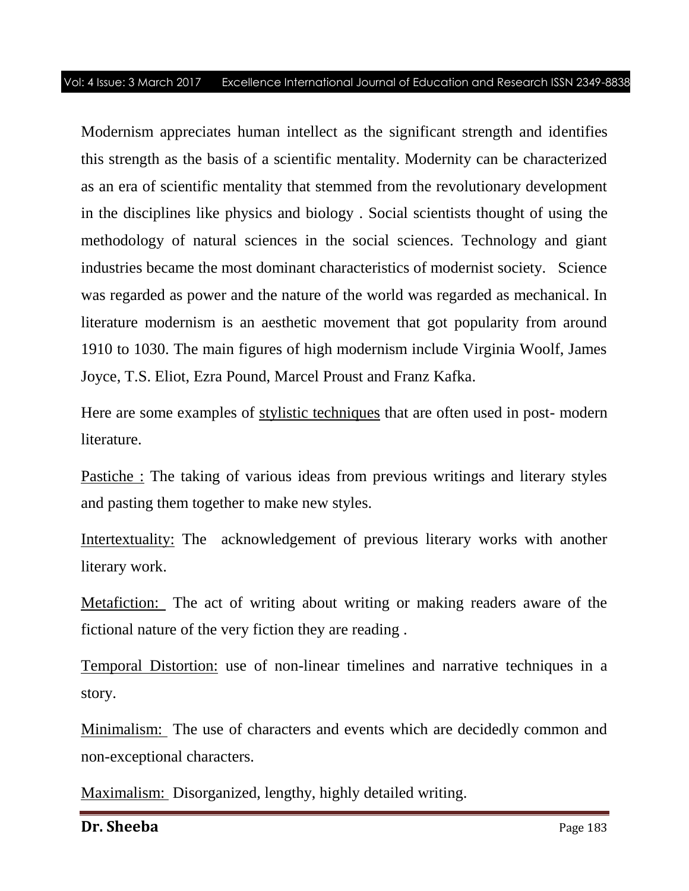Modernism appreciates human intellect as the significant strength and identifies this strength as the basis of a scientific mentality. Modernity can be characterized as an era of scientific mentality that stemmed from the revolutionary development in the disciplines like physics and biology . Social scientists thought of using the methodology of natural sciences in the social sciences. Technology and giant industries became the most dominant characteristics of modernist society. Science was regarded as power and the nature of the world was regarded as mechanical. In literature modernism is an aesthetic movement that got popularity from around 1910 to 1030. The main figures of high modernism include Virginia Woolf, James Joyce, T.S. Eliot, Ezra Pound, Marcel Proust and Franz Kafka.

Here are some examples of stylistic techniques that are often used in post- modern literature.

Pastiche : The taking of various ideas from previous writings and literary styles and pasting them together to make new styles.

Intertextuality: The acknowledgement of previous literary works with another literary work.

Metafiction: The act of writing about writing or making readers aware of the fictional nature of the very fiction they are reading .

Temporal Distortion: use of non-linear timelines and narrative techniques in a story.

Minimalism: The use of characters and events which are decidedly common and non-exceptional characters.

Maximalism: Disorganized, lengthy, highly detailed writing.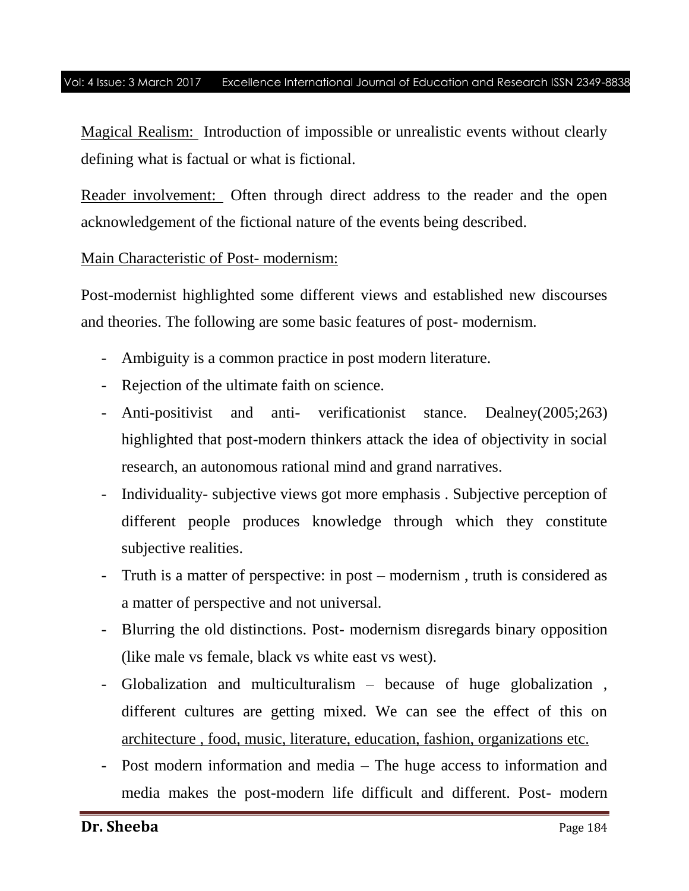Magical Realism: Introduction of impossible or unrealistic events without clearly defining what is factual or what is fictional.

Reader involvement: Often through direct address to the reader and the open acknowledgement of the fictional nature of the events being described.

### Main Characteristic of Post- modernism:

Post-modernist highlighted some different views and established new discourses and theories. The following are some basic features of post- modernism.

- Ambiguity is a common practice in post modern literature.
- Rejection of the ultimate faith on science.
- Anti-positivist and anti- verificationist stance. Dealney(2005;263) highlighted that post-modern thinkers attack the idea of objectivity in social research, an autonomous rational mind and grand narratives.
- Individuality- subjective views got more emphasis . Subjective perception of different people produces knowledge through which they constitute subjective realities.
- Truth is a matter of perspective: in post modernism , truth is considered as a matter of perspective and not universal.
- Blurring the old distinctions. Post- modernism disregards binary opposition (like male vs female, black vs white east vs west).
- Globalization and multiculturalism because of huge globalization , different cultures are getting mixed. We can see the effect of this on architecture , food, music, literature, education, fashion, organizations etc.
- Post modern information and media The huge access to information and media makes the post-modern life difficult and different. Post- modern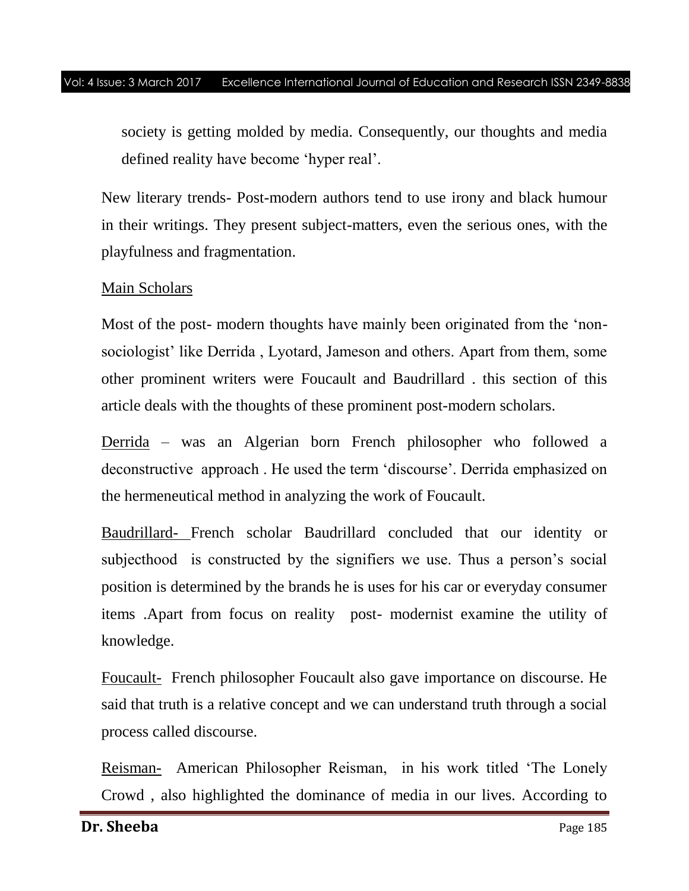society is getting molded by media. Consequently, our thoughts and media defined reality have become "hyper real".

New literary trends- Post-modern authors tend to use irony and black humour in their writings. They present subject-matters, even the serious ones, with the playfulness and fragmentation.

### Main Scholars

Most of the post- modern thoughts have mainly been originated from the "nonsociologist' like Derrida, Lyotard, Jameson and others. Apart from them, some other prominent writers were Foucault and Baudrillard . this section of this article deals with the thoughts of these prominent post-modern scholars.

Derrida – was an Algerian born French philosopher who followed a deconstructive approach . He used the term "discourse". Derrida emphasized on the hermeneutical method in analyzing the work of Foucault.

Baudrillard- French scholar Baudrillard concluded that our identity or subjecthood is constructed by the signifiers we use. Thus a person"s social position is determined by the brands he is uses for his car or everyday consumer items .Apart from focus on reality post- modernist examine the utility of knowledge.

Foucault- French philosopher Foucault also gave importance on discourse. He said that truth is a relative concept and we can understand truth through a social process called discourse.

Reisman- American Philosopher Reisman, in his work titled "The Lonely Crowd , also highlighted the dominance of media in our lives. According to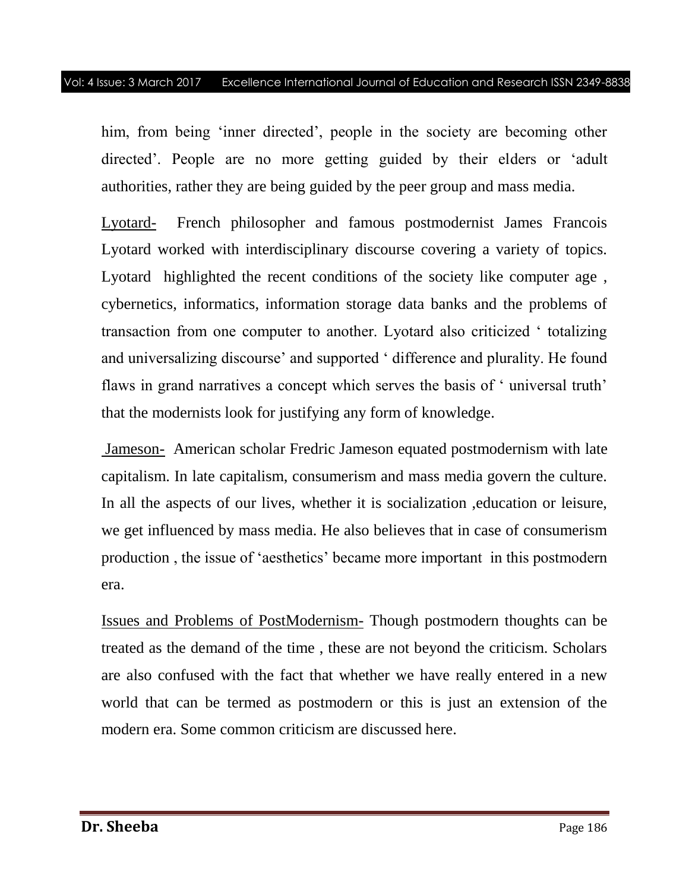him, from being 'inner directed', people in the society are becoming other directed". People are no more getting guided by their elders or "adult authorities, rather they are being guided by the peer group and mass media.

Lyotard- French philosopher and famous postmodernist James Francois Lyotard worked with interdisciplinary discourse covering a variety of topics. Lyotard highlighted the recent conditions of the society like computer age , cybernetics, informatics, information storage data banks and the problems of transaction from one computer to another. Lyotard also criticized " totalizing and universalizing discourse" and supported " difference and plurality. He found flaws in grand narratives a concept which serves the basis of 'universal truth' that the modernists look for justifying any form of knowledge.

Jameson- American scholar Fredric Jameson equated postmodernism with late capitalism. In late capitalism, consumerism and mass media govern the culture. In all the aspects of our lives, whether it is socialization ,education or leisure, we get influenced by mass media. He also believes that in case of consumerism production , the issue of "aesthetics" became more important in this postmodern era.

Issues and Problems of PostModernism- Though postmodern thoughts can be treated as the demand of the time , these are not beyond the criticism. Scholars are also confused with the fact that whether we have really entered in a new world that can be termed as postmodern or this is just an extension of the modern era. Some common criticism are discussed here.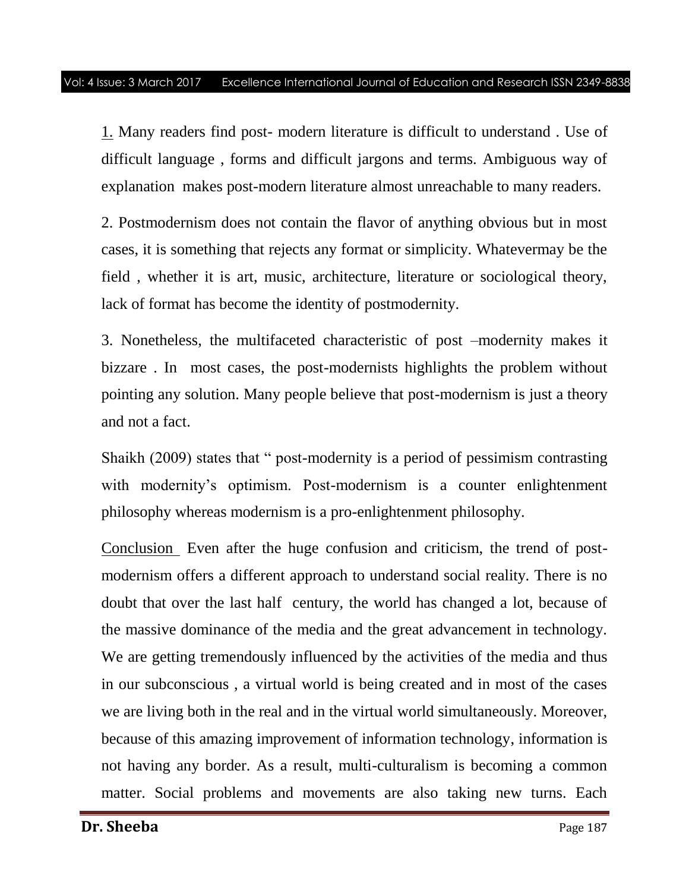1. Many readers find post- modern literature is difficult to understand . Use of difficult language , forms and difficult jargons and terms. Ambiguous way of explanation makes post-modern literature almost unreachable to many readers.

2. Postmodernism does not contain the flavor of anything obvious but in most cases, it is something that rejects any format or simplicity. Whatevermay be the field , whether it is art, music, architecture, literature or sociological theory, lack of format has become the identity of postmodernity.

3. Nonetheless, the multifaceted characteristic of post –modernity makes it bizzare . In most cases, the post-modernists highlights the problem without pointing any solution. Many people believe that post-modernism is just a theory and not a fact.

Shaikh (2009) states that " post-modernity is a period of pessimism contrasting with modernity's optimism. Post-modernism is a counter enlightenment philosophy whereas modernism is a pro-enlightenment philosophy.

Conclusion Even after the huge confusion and criticism, the trend of postmodernism offers a different approach to understand social reality. There is no doubt that over the last half century, the world has changed a lot, because of the massive dominance of the media and the great advancement in technology. We are getting tremendously influenced by the activities of the media and thus in our subconscious , a virtual world is being created and in most of the cases we are living both in the real and in the virtual world simultaneously. Moreover, because of this amazing improvement of information technology, information is not having any border. As a result, multi-culturalism is becoming a common matter. Social problems and movements are also taking new turns. Each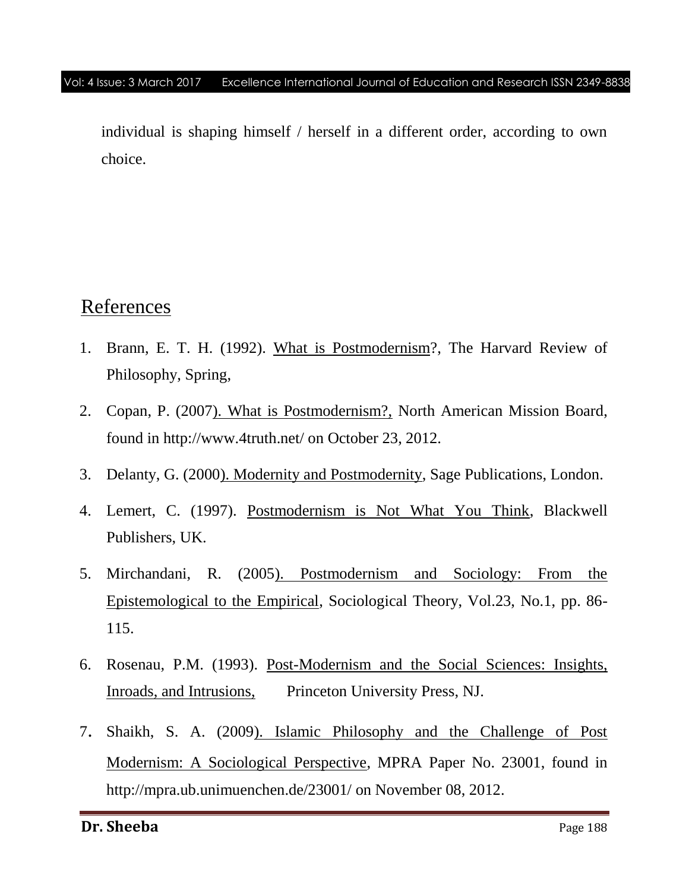individual is shaping himself / herself in a different order, according to own choice.

## References

- 1. Brann, E. T. H. (1992). What is Postmodernism?, The Harvard Review of Philosophy, Spring,
- 2. Copan, P. (2007). What is Postmodernism?, North American Mission Board, found in http://www.4truth.net/ on October 23, 2012.
- 3. Delanty, G. (2000). Modernity and Postmodernity, Sage Publications, London.
- 4. Lemert, C. (1997). Postmodernism is Not What You Think, Blackwell Publishers, UK.
- 5. Mirchandani, R. (2005). Postmodernism and Sociology: From the Epistemological to the Empirical, Sociological Theory, Vol.23, No.1, pp. 86- 115.
- 6. Rosenau, P.M. (1993). Post-Modernism and the Social Sciences: Insights, Inroads, and Intrusions, Princeton University Press, NJ.
- 7. Shaikh, S. A. (2009). Islamic Philosophy and the Challenge of Post Modernism: A Sociological Perspective, MPRA Paper No. 23001, found in http://mpra.ub.unimuenchen.de/23001/ on November 08, 2012.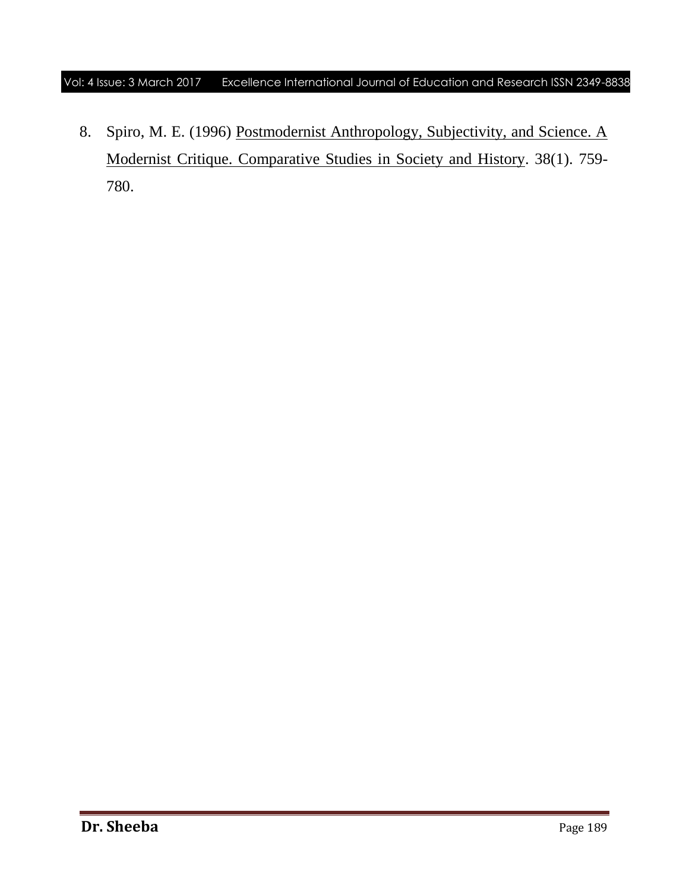8. Spiro, M. E. (1996) Postmodernist Anthropology, Subjectivity, and Science. A Modernist Critique. Comparative Studies in Society and History. 38(1). 759- 780.